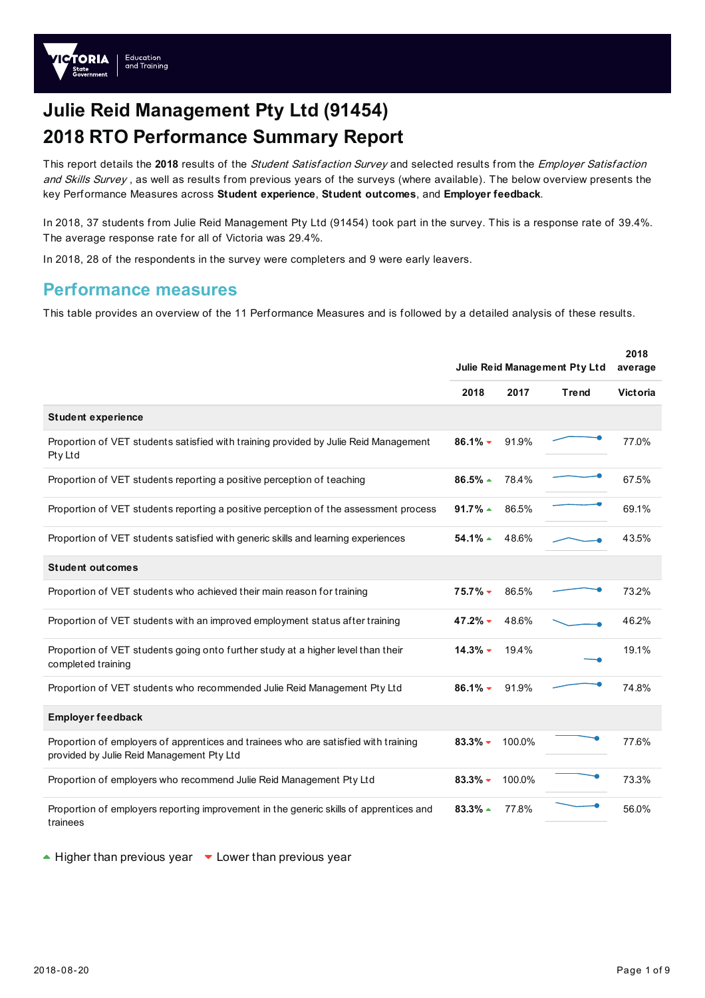

# **Julie Reid Management Pty Ltd (91454) 2018 RTO Performance Summary Report**

This report details the **2018** results of the Student Satisfaction Survey and selected results from the Employer Satisfaction and Skills Survey, as well as results from previous years of the surveys (where available). The below overview presents the key Performance Measures across **Student experience**, **Student outcomes**, and **Employer feedback**.

In 2018, 37 students from Julie Reid Management Pty Ltd (91454) took part in the survey. This is a response rate of 39.4%. The average response rate for all of Victoria was 29.4%.

In 2018, 28 of the respondents in the survey were completers and 9 were early leavers.

### **Performance measures**

This table provides an overview of the 11 Performance Measures and is followed by a detailed analysis of these results.

|                                                                                                                                  |                        |        | 2018                          |                 |
|----------------------------------------------------------------------------------------------------------------------------------|------------------------|--------|-------------------------------|-----------------|
|                                                                                                                                  |                        |        | Julie Reid Management Pty Ltd | average         |
|                                                                                                                                  | 2018                   | 2017   | Trend                         | <b>Victoria</b> |
| Student experience                                                                                                               |                        |        |                               |                 |
| Proportion of VET students satisfied with training provided by Julie Reid Management<br>Pty Ltd                                  | $86.1%$ $\star$        | 91.9%  |                               | 77.0%           |
| Proportion of VET students reporting a positive perception of teaching                                                           | $86.5\%$ $\rightarrow$ | 78.4%  |                               | 67.5%           |
| Proportion of VET students reporting a positive perception of the assessment process                                             | $91.7\%$ $\rightarrow$ | 86.5%  |                               | 69.1%           |
| Proportion of VET students satisfied with generic skills and learning experiences                                                | $54.1\%$ $\triangle$   | 48.6%  |                               | 43.5%           |
| <b>Student outcomes</b>                                                                                                          |                        |        |                               |                 |
| Proportion of VET students who achieved their main reason for training                                                           | $75.7\%$ $\star$       | 86.5%  |                               | 73.2%           |
| Proportion of VET students with an improved employment status after training                                                     | 47.2%                  | 48.6%  |                               | 46.2%           |
| Proportion of VET students going onto further study at a higher level than their<br>completed training                           | $14.3\%$ $\star$       | 19.4%  |                               | 19.1%           |
| Proportion of VET students who recommended Julie Reid Management Pty Ltd                                                         | $86.1\%$ $\star$       | 91.9%  |                               | 74.8%           |
| <b>Employer feedback</b>                                                                                                         |                        |        |                               |                 |
| Proportion of employers of apprentices and trainees who are satisfied with training<br>provided by Julie Reid Management Pty Ltd | $83.3\%$ $\sim$        | 100.0% |                               | 77.6%           |
| Proportion of employers who recommend Julie Reid Management Pty Ltd                                                              | $83.3%$ $\star$        | 100.0% |                               | 73.3%           |
| Proportion of employers reporting improvement in the generic skills of apprentices and<br>trainees                               | $83.3\%$ $\triangle$   | 77.8%  |                               | 56.0%           |

 $\triangle$  Higher than previous year  $\triangledown$  Lower than previous year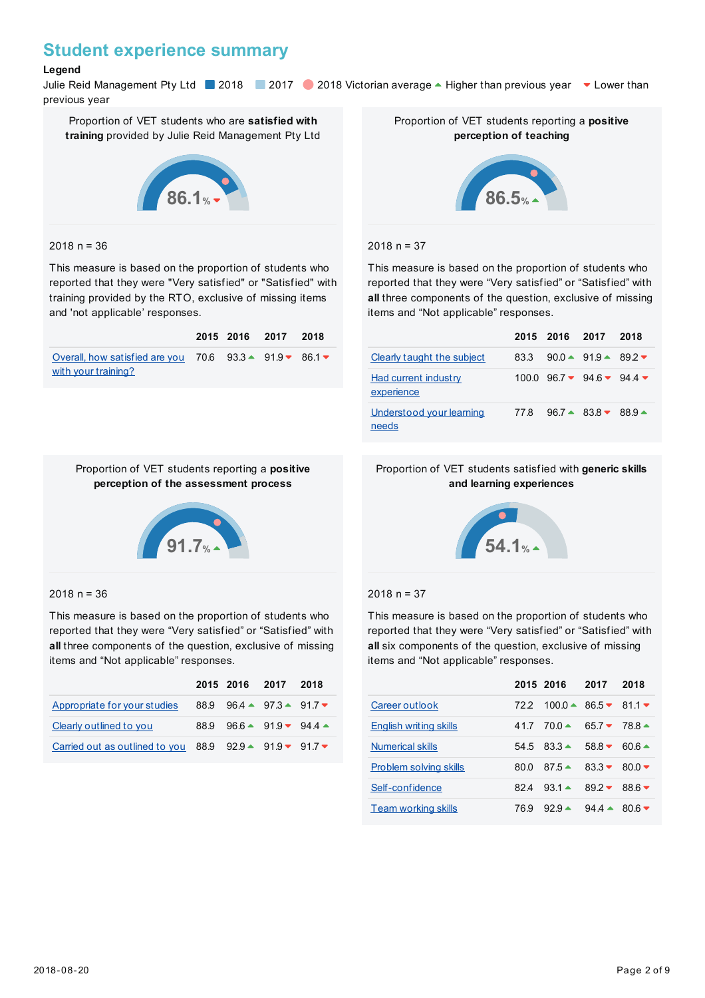### **Student experience summary**

#### **Legend**

Julie Reid Management Pty Ltd 2018 2017 2018 Victorian average - Higher than previous year v Lower than previous year

Proportion of VET students who are **satisfied with training** provided by Julie Reid Management Pty Ltd



#### $2018 n = 36$

This measure is based on the proportion of students who reported that they were "Very satisfied" or "Satisfied" with training provided by the RTO, exclusive of missing items and 'not applicable' responses.

|                                                                                                                     |  | 2015 2016 2017 2018 |  |
|---------------------------------------------------------------------------------------------------------------------|--|---------------------|--|
| Overall, how satisfied are you 70.6 $93.3 \triangle 91.9 \triangleright 86.1 \triangleright$<br>with your training? |  |                     |  |

Proportion of VET students reporting a **positive perception of the assessment process**



Proportion of VET students reporting a **positive perception of teaching**

#### $2018 n = 37$

This measure is based on the proportion of students who reported that they were "Very satisfied" or "Satisfied" with **all** three components of the question, exclusive of missing items and "Not applicable" responses.

|                                    |      | 2015 2016 2017 |                                                             | 2018 |
|------------------------------------|------|----------------|-------------------------------------------------------------|------|
| Clearly taught the subject         | 83.3 |                | 90.0 $\triangle$ 91.9 $\triangle$ 89.2 $\blacktriangledown$ |      |
| Had current industry<br>experience |      |                | $100.0$ $96.7 \times 94.6 \times 94.4 \times$               |      |
| Understood your learning<br>needs  | 77.8 |                | $96.7 - 83.8 - 88.9 -$                                      |      |

#### Proportion of VET students satisfied with **generic skills and learning experiences**



#### $2018 n = 37$

This measure is based on the proportion of students who reported that they were "Very satisfied" or "Satisfied" with **all** six components of the question, exclusive of missing items and "Not applicable" responses.

|                            |      | 2015 2016             | -2017           | 2018            |
|----------------------------|------|-----------------------|-----------------|-----------------|
| Career out look            | 722  | $100.0 - 86.5 - 81.1$ |                 |                 |
| English writing skills     | 417  | $70.0 \triangle$      | $65.7 - 78.8 -$ |                 |
| <b>Numerical skills</b>    | 54.5 | $83.3 - 58.8$         |                 | $60.6 -$        |
| Problem solving skills     | 80.0 | $87.5 \triangle$      | $83.3 -$        | 80.0 $\sim$     |
| Self-confidence            | 824  | $93.1 - 89.2$         |                 | $886$ $\bullet$ |
| <b>Team working skills</b> | 769  | $929 -$               | $94.4 -$        | 80.6            |

# **91.7%**

#### $2018 n = 36$

This measure is based on the proportion of students who reported that they were "Very satisfied" or "Satisfied" with **all** three components of the question, exclusive of missing items and "Not applicable" responses.

|                                                          |      | 2015 2016 2017 2018                            |  |
|----------------------------------------------------------|------|------------------------------------------------|--|
| Appropriate for your studies                             |      | 88.9 96.4 $\triangle$ 97.3 $\triangle$ 91.7    |  |
| Clearly outlined to you                                  | 88.9 | $96.6 \triangle 91.9 \triangle 94.4 \triangle$ |  |
| Carried out as outlined to you 88.9 92.9 ▲ 91.9 ▼ 91.7 ▼ |      |                                                |  |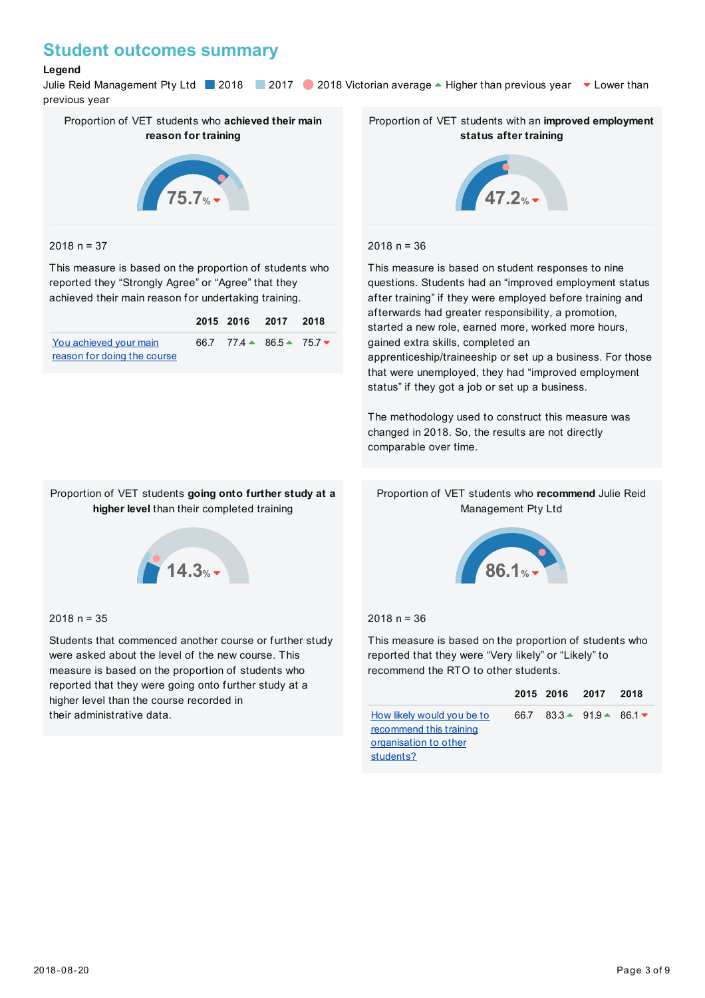### **Student outcomes summary**

#### **Legend**

Julie Reid Management Pty Ltd 2018 2017 2018 Victorian average - Higher than previous year v Lower than previous year



#### $2018 n = 37$

This measure is based on the proportion of students who reported they "Strongly Agree" or "Agree" that they achieved their main reason for undertaking training.

|                             | 2015 2016 2017 2018                         |  |
|-----------------------------|---------------------------------------------|--|
| You achieved your main      | 66.7 77.4 $\triangle$ 86.5 $\triangle$ 75.7 |  |
| reason for doing the course |                                             |  |

Proportion of VET students with an **improved employment status after training**



#### $2018 n = 36$

This measure is based on student responses to nine questions. Students had an "improved employment status after training" if they were employed before training and afterwards had greater responsibility, a promotion, started a new role, earned more, worked more hours, gained extra skills, completed an apprenticeship/traineeship or set up a business. For those

that were unemployed, they had "improved employment status" if they got a job or set up a business.

The methodology used to construct this measure was changed in 2018. So, the results are not directly comparable over time.

#### Proportion of VET students who **recommend** Julie Reid Management Pty Ltd



Proportion of VET students **going onto further study at a higher level** than their completed training

#### $2018 n = 35$

Students that commenced another course or further study were asked about the level of the new course. This measure is based on the proportion of students who reported that they were going onto further study at a higher level than the course recorded in their administrative data.



#### $2018 n = 36$

This measure is based on the proportion of students who reported that they were "Very likely" or "Likely" to recommend the RTO to other students.

|                            |  | 2015 2016 2017 2018                         |  |
|----------------------------|--|---------------------------------------------|--|
| How likely would you be to |  | 66.7 83.3 $\triangle$ 91.9 $\triangle$ 86.1 |  |
| recommend this training    |  |                                             |  |
| organisation to other      |  |                                             |  |
| students?                  |  |                                             |  |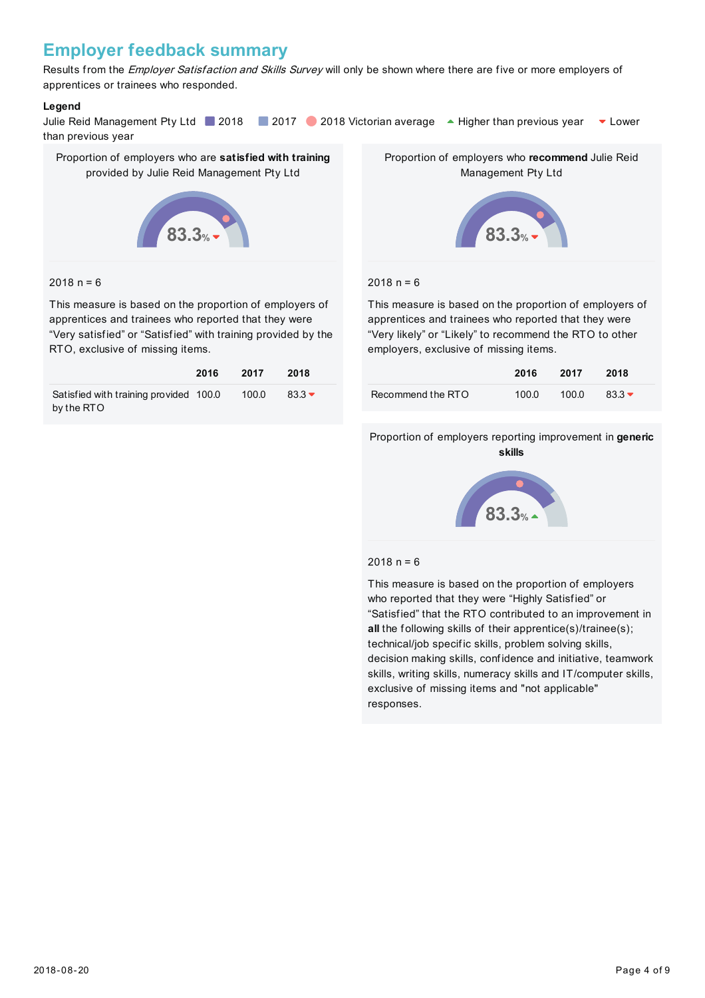### **Employer feedback summary**

Results from the Employer Satisfaction and Skills Survey will only be shown where there are five or more employers of apprentices or trainees who responded.

#### **Legend**

Julie Reid Management Pty Ltd 2018 2017 2018 Victorian average A Higher than previous year  $\bullet$  Lower than previous year

Proportion of employers who are **satisfied with training** provided by Julie Reid Management Pty Ltd



#### $2018 n = 6$

This measure is based on the proportion of employers of apprentices and trainees who reported that they were "Very satisfied" or "Satisfied" with training provided by the RTO, exclusive of missing items.

|                                        | 2016 | 2017  | 2018     |
|----------------------------------------|------|-------|----------|
| Satisfied with training provided 100.0 |      | 100.0 | $83.3 -$ |
| by the RTO                             |      |       |          |

Proportion of employers who **recommend** Julie Reid Management Pty Ltd



#### $2018 n = 6$

This measure is based on the proportion of employers of apprentices and trainees who reported that they were "Very likely" or "Likely" to recommend the RTO to other employers, exclusive of missing items.

|                   | 2016  | 2017  | 2018     |
|-------------------|-------|-------|----------|
| Recommend the RTO | 100.0 | 100.0 | $83.3 -$ |

#### Proportion of employers reporting improvement in **generic skills**



#### $2018 n = 6$

This measure is based on the proportion of employers who reported that they were "Highly Satisfied" or "Satisfied" that the RTO contributed to an improvement in **all** the following skills of their apprentice(s)/trainee(s); technical/job specific skills, problem solving skills, decision making skills, confidence and initiative, teamwork skills, writing skills, numeracy skills and IT/computer skills, exclusive of missing items and "not applicable" responses.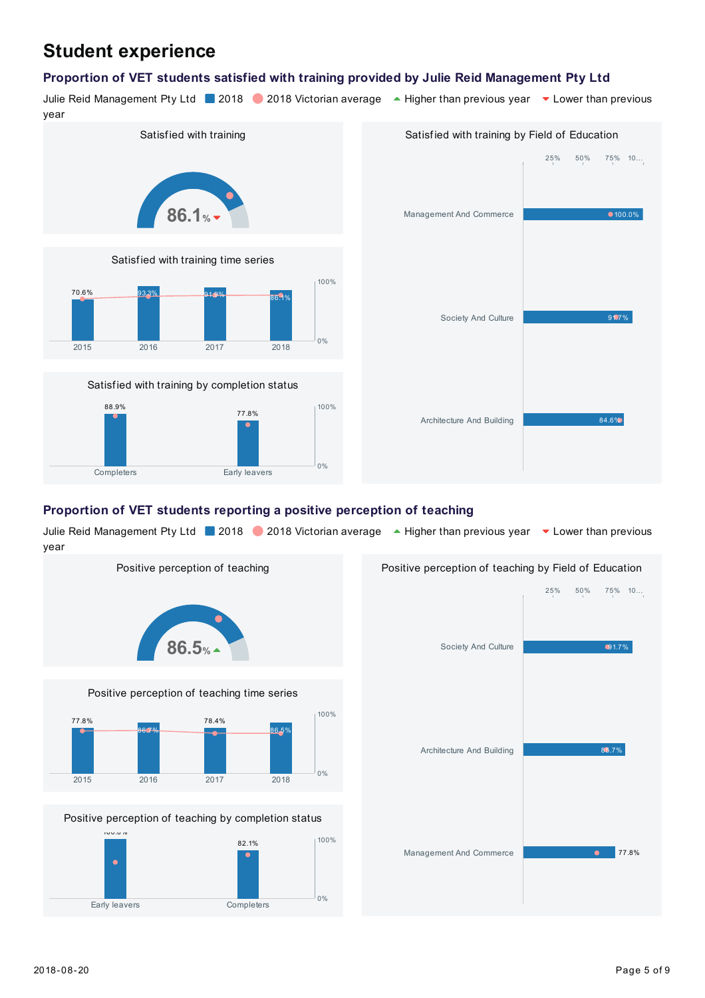# **Student experience**

#### **Proportion of VET students satisfied with training provided by Julie Reid Management Pty Ltd**

Julie Reid Management Pty Ltd 2018 2018 Victorian average A Higher than previous year v Lower than previous



| Satisfied with training by Field of Education |                                          |  |  |  |
|-----------------------------------------------|------------------------------------------|--|--|--|
|                                               | $25\% \qquad 50\% \qquad 75\% \qquad 10$ |  |  |  |
|                                               |                                          |  |  |  |
| Management And Commerce                       | $•100.0\%$                               |  |  |  |
|                                               |                                          |  |  |  |
|                                               |                                          |  |  |  |
|                                               |                                          |  |  |  |
| Society And Culture                           | 91.7%                                    |  |  |  |
|                                               |                                          |  |  |  |
|                                               |                                          |  |  |  |
| Architecture And Building                     | 84.6%                                    |  |  |  |
|                                               |                                          |  |  |  |
|                                               |                                          |  |  |  |

#### **Proportion of VET students reporting a positive perception of teaching**

Julie Reid Management Pty Ltd 2018 2018 Victorian average A Higher than previous year v Lower than previous year

0%



Completers Early leavers



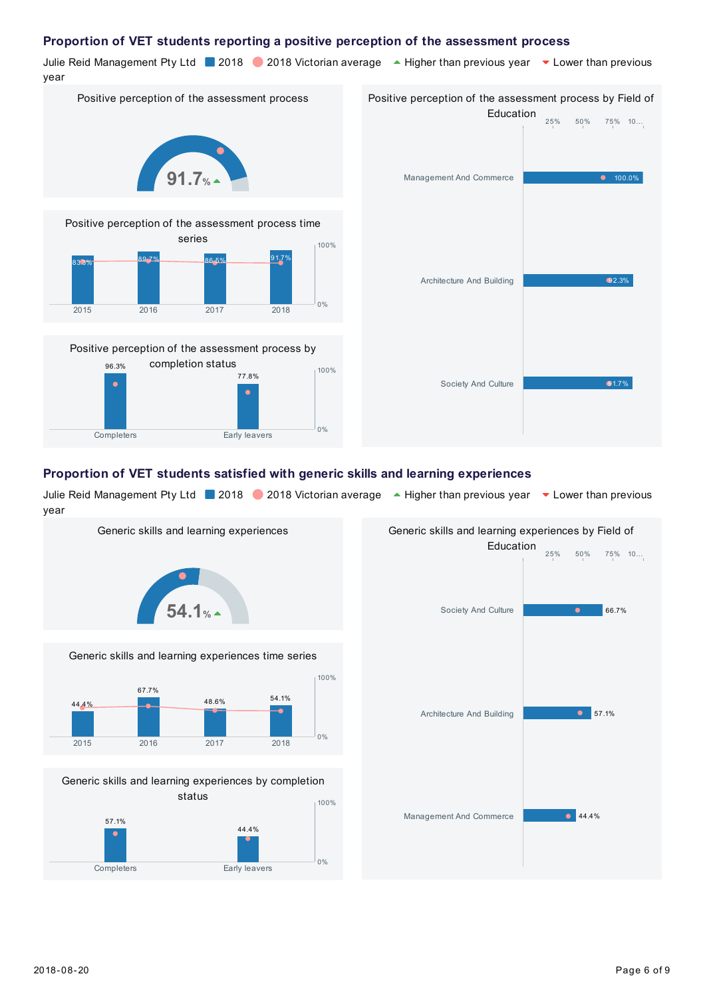#### **Proportion of VET students reporting a positive perception of the assessment process**

Julie Reid Management Pty Ltd 2018 2018 Victorian average A Higher than previous year v Lower than previous year

Positive perception of the assessment process







| Positive perception of the assessment process by Field of |                     |  |  |
|-----------------------------------------------------------|---------------------|--|--|
| Education                                                 |                     |  |  |
|                                                           | $25\%$ 50% 75% 10   |  |  |
| Management And Commerce                                   | 100.0%<br>$\bullet$ |  |  |
| Architecture And Building                                 | 92.3%               |  |  |
| Society And Culture                                       | 91.7%               |  |  |

#### **Proportion of VET students satisfied with generic skills and learning experiences**

Julie Reid Management Pty Ltd 2018 2018 Victorian average A Higher than previous year v Lower than previous year

0%



Completers Early leavers

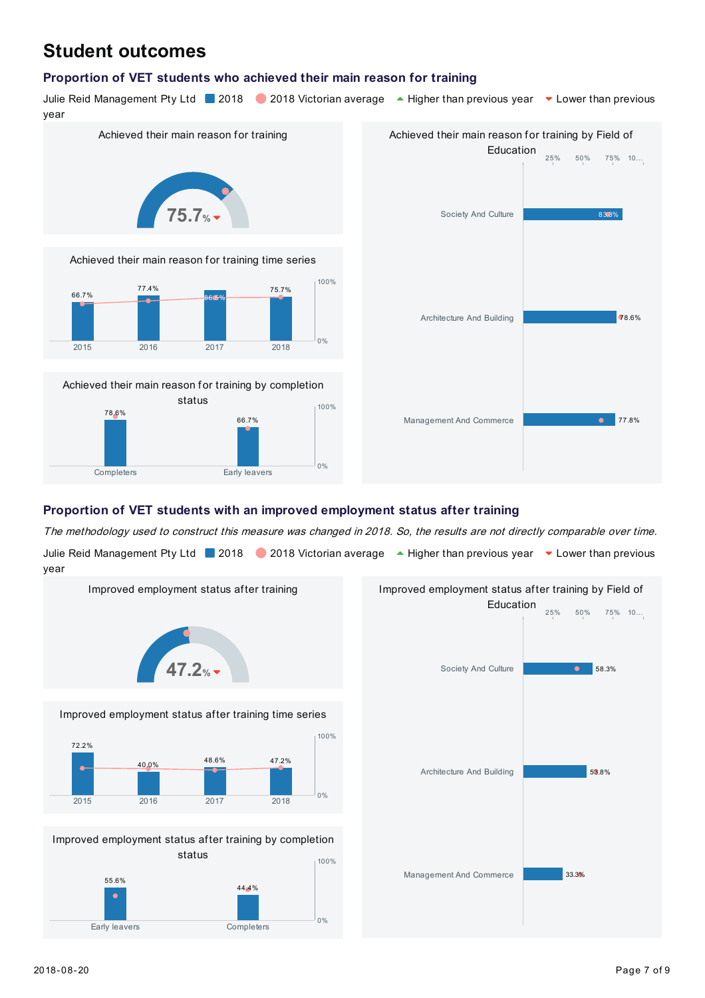# **Student outcomes**

#### **Proportion of VET students who achieved their main reason for training**

Julie Reid Management Pty Ltd 2018 2018 Victorian average A Higher than previous year v Lower than previous year



The methodology used to construct this measure was changed in 2018. So, the results are not directly comparable over time.

Julie Reid Management Pty Ltd 2018 2018 Victorian average A Higher than previous year v Lower than previous year





Improved employment status after training by completion status 55.6% 44.4% Early leavers **Completers**  $0%$ 100%

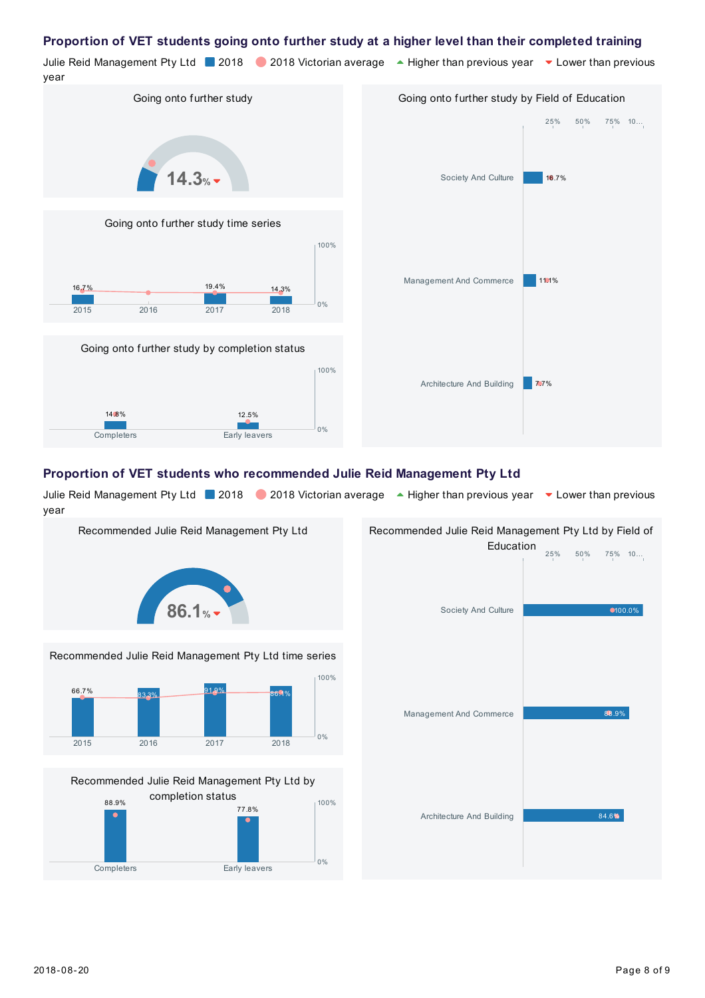#### **Proportion of VET students going onto further study at a higher level than their completed training**

Julie Reid Management Pty Ltd 2018 2018 Victorian average A Higher than previous year v Lower than previous year Going onto further study Going onto further study time series Going onto further study by completion status  $14.3%$ 16.7% 19.4% 14.3% 2015 2016 2017 2018  $0%$ 100% 14.8% 12.5% Completers Early leavers 0% 100% Going onto further study by Field of Education 16.7% 11.1% 7.7% Society And Culture Management And Commerce Architecture And Building 25% 50% 75% 10…

#### **Proportion of VET students who recommended Julie Reid Management Pty Ltd**

Julie Reid Management Pty Ltd 2018 2018 Victorian average A Higher than previous year v Lower than previous year